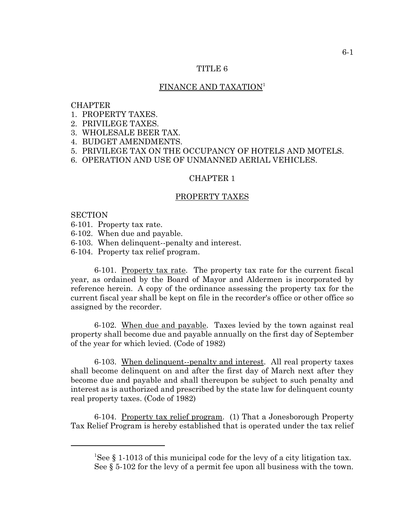### TITLE 6

## FINANCE AND TAXATION<sup>1</sup>

### **CHAPTER**

- 1. PROPERTY TAXES.
- 2. PRIVILEGE TAXES.
- 3. WHOLESALE BEER TAX.
- 4. BUDGET AMENDMENTS.
- 5. PRIVILEGE TAX ON THE OCCUPANCY OF HOTELS AND MOTELS.
- 6. OPERATION AND USE OF UNMANNED AERIAL VEHICLES.

#### CHAPTER 1

#### PROPERTY TAXES

#### **SECTION**

- 6-101. Property tax rate.
- 6-102. When due and payable.
- 6-103. When delinquent--penalty and interest.
- 6-104. Property tax relief program.

6-101. Property tax rate. The property tax rate for the current fiscal year, as ordained by the Board of Mayor and Aldermen is incorporated by reference herein. A copy of the ordinance assessing the property tax for the current fiscal year shall be kept on file in the recorder's office or other office so assigned by the recorder.

6-102. When due and payable. Taxes levied by the town against real property shall become due and payable annually on the first day of September of the year for which levied. (Code of 1982)

6-103. When delinquent--penalty and interest. All real property taxes shall become delinquent on and after the first day of March next after they become due and payable and shall thereupon be subject to such penalty and interest as is authorized and prescribed by the state law for delinquent county real property taxes. (Code of 1982)

6-104. Property tax relief program. (1) That a Jonesborough Property Tax Relief Program is hereby established that is operated under the tax relief

<sup>&</sup>lt;sup>1</sup>See § 1-1013 of this municipal code for the levy of a city litigation tax. See § 5-102 for the levy of a permit fee upon all business with the town.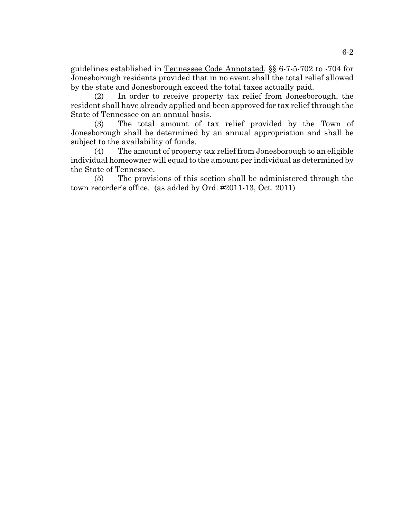guidelines established in Tennessee Code Annotated, §§ 6-7-5-702 to -704 for Jonesborough residents provided that in no event shall the total relief allowed by the state and Jonesborough exceed the total taxes actually paid.

(2) In order to receive property tax relief from Jonesborough, the resident shall have already applied and been approved for tax relief through the State of Tennessee on an annual basis.

(3) The total amount of tax relief provided by the Town of Jonesborough shall be determined by an annual appropriation and shall be subject to the availability of funds.

(4) The amount of property tax relief from Jonesborough to an eligible individual homeowner will equal to the amount per individual as determined by the State of Tennessee.

(5) The provisions of this section shall be administered through the town recorder's office. (as added by Ord. #2011-13, Oct. 2011)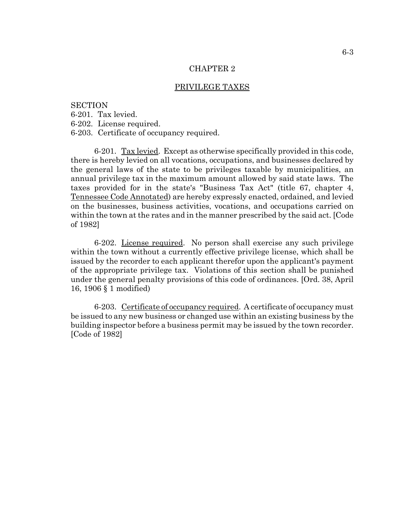#### PRIVILEGE TAXES

### **SECTION**

6-201. Tax levied.

6-202. License required.

6-203. Certificate of occupancy required.

6-201. Tax levied. Except as otherwise specifically provided in this code, there is hereby levied on all vocations, occupations, and businesses declared by the general laws of the state to be privileges taxable by municipalities, an annual privilege tax in the maximum amount allowed by said state laws. The taxes provided for in the state's "Business Tax Act" (title 67, chapter 4, Tennessee Code Annotated) are hereby expressly enacted, ordained, and levied on the businesses, business activities, vocations, and occupations carried on within the town at the rates and in the manner prescribed by the said act. [Code of 1982]

6-202. License required. No person shall exercise any such privilege within the town without a currently effective privilege license, which shall be issued by the recorder to each applicant therefor upon the applicant's payment of the appropriate privilege tax. Violations of this section shall be punished under the general penalty provisions of this code of ordinances. [Ord. 38, April 16, 1906 § 1 modified)

6-203. Certificate of occupancy required. A certificate of occupancy must be issued to any new business or changed use within an existing business by the building inspector before a business permit may be issued by the town recorder. [Code of 1982]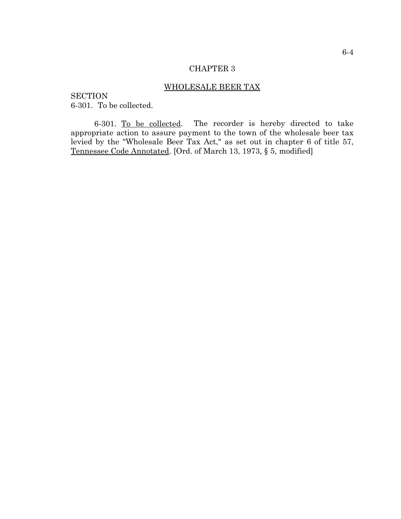## WHOLESALE BEER TAX

**SECTION** 6-301. To be collected.

6-301. To be collected. The recorder is hereby directed to take appropriate action to assure payment to the town of the wholesale beer tax levied by the "Wholesale Beer Tax Act," as set out in chapter 6 of title 57, Tennessee Code Annotated. [Ord. of March 13, 1973, § 5, modified]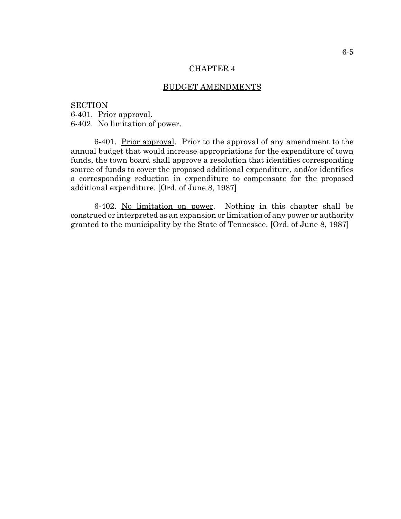### BUDGET AMENDMENTS

**SECTION** 6-401. Prior approval. 6-402. No limitation of power.

6-401. Prior approval. Prior to the approval of any amendment to the annual budget that would increase appropriations for the expenditure of town funds, the town board shall approve a resolution that identifies corresponding source of funds to cover the proposed additional expenditure, and/or identifies a corresponding reduction in expenditure to compensate for the proposed additional expenditure. [Ord. of June 8, 1987]

6-402. No limitation on power. Nothing in this chapter shall be construed or interpreted as an expansion or limitation of any power or authority granted to the municipality by the State of Tennessee. [Ord. of June 8, 1987]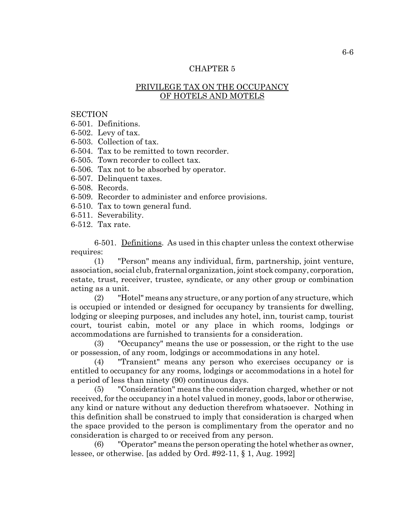# PRIVILEGE TAX ON THE OCCUPANCY OF HOTELS AND MOTELS

### **SECTION**

6-501. Definitions.

- 6-502. Levy of tax.
- 6-503. Collection of tax.

6-504. Tax to be remitted to town recorder.

- 6-505. Town recorder to collect tax.
- 6-506. Tax not to be absorbed by operator.
- 6-507. Delinquent taxes.
- 6-508. Records.
- 6-509. Recorder to administer and enforce provisions.
- 6-510. Tax to town general fund.
- 6-511. Severability.
- 6-512. Tax rate.

6-501. Definitions. As used in this chapter unless the context otherwise requires:

(1) "Person" means any individual, firm, partnership, joint venture, association, social club, fraternal organization, joint stock company, corporation, estate, trust, receiver, trustee, syndicate, or any other group or combination acting as a unit.

(2) "Hotel" means any structure, or any portion of any structure, which is occupied or intended or designed for occupancy by transients for dwelling, lodging or sleeping purposes, and includes any hotel, inn, tourist camp, tourist court, tourist cabin, motel or any place in which rooms, lodgings or accommodations are furnished to transients for a consideration.

(3) "Occupancy" means the use or possession, or the right to the use or possession, of any room, lodgings or accommodations in any hotel.

(4) "Transient" means any person who exercises occupancy or is entitled to occupancy for any rooms, lodgings or accommodations in a hotel for a period of less than ninety (90) continuous days.

(5) "Consideration" means the consideration charged, whether or not received, for the occupancy in a hotel valued in money, goods, labor or otherwise, any kind or nature without any deduction therefrom whatsoever. Nothing in this definition shall be construed to imply that consideration is charged when the space provided to the person is complimentary from the operator and no consideration is charged to or received from any person.

(6) "Operator" means the person operating the hotel whether as owner, lessee, or otherwise. [as added by Ord. #92-11, § 1, Aug. 1992]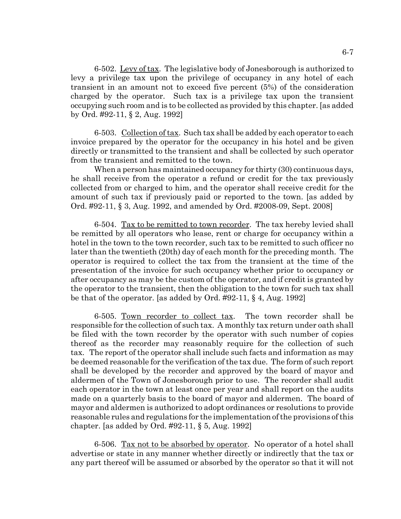6-502. Levy of tax. The legislative body of Jonesborough is authorized to levy a privilege tax upon the privilege of occupancy in any hotel of each transient in an amount not to exceed five percent (5%) of the consideration charged by the operator. Such tax is a privilege tax upon the transient occupying such room and is to be collected as provided by this chapter. [as added by Ord. #92-11, § 2, Aug. 1992]

6-503. Collection of tax. Such tax shall be added by each operator to each invoice prepared by the operator for the occupancy in his hotel and be given directly or transmitted to the transient and shall be collected by such operator from the transient and remitted to the town.

When a person has maintained occupancy for thirty (30) continuous days, he shall receive from the operator a refund or credit for the tax previously collected from or charged to him, and the operator shall receive credit for the amount of such tax if previously paid or reported to the town. [as added by Ord. #92-11, § 3, Aug. 1992, and amended by Ord. #2008-09, Sept. 2008]

6-504. Tax to be remitted to town recorder. The tax hereby levied shall be remitted by all operators who lease, rent or charge for occupancy within a hotel in the town to the town recorder, such tax to be remitted to such officer no later than the twentieth (20th) day of each month for the preceding month. The operator is required to collect the tax from the transient at the time of the presentation of the invoice for such occupancy whether prior to occupancy or after occupancy as may be the custom of the operator, and if credit is granted by the operator to the transient, then the obligation to the town for such tax shall be that of the operator. [as added by Ord. #92-11, § 4, Aug. 1992]

6-505. Town recorder to collect tax. The town recorder shall be responsible for the collection of such tax. A monthly tax return under oath shall be filed with the town recorder by the operator with such number of copies thereof as the recorder may reasonably require for the collection of such tax. The report of the operator shall include such facts and information as may be deemed reasonable for the verification of the tax due. The form of such report shall be developed by the recorder and approved by the board of mayor and aldermen of the Town of Jonesborough prior to use. The recorder shall audit each operator in the town at least once per year and shall report on the audits made on a quarterly basis to the board of mayor and aldermen. The board of mayor and aldermen is authorized to adopt ordinances or resolutions to provide reasonable rules and regulations for the implementation of the provisions of this chapter. [as added by Ord. #92-11, § 5, Aug. 1992]

6-506. Tax not to be absorbed by operator. No operator of a hotel shall advertise or state in any manner whether directly or indirectly that the tax or any part thereof will be assumed or absorbed by the operator so that it will not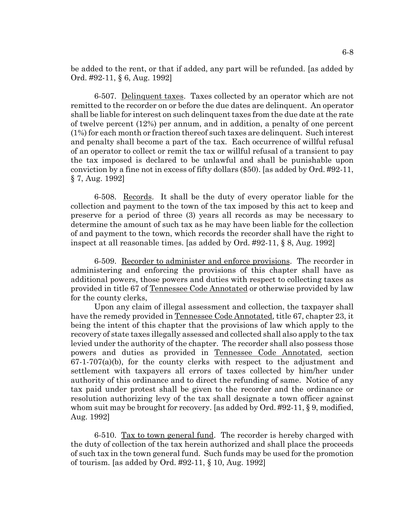be added to the rent, or that if added, any part will be refunded. [as added by Ord. #92-11, § 6, Aug. 1992]

6-507. Delinquent taxes. Taxes collected by an operator which are not remitted to the recorder on or before the due dates are delinquent. An operator shall be liable for interest on such delinquent taxes from the due date at the rate of twelve percent (12%) per annum, and in addition, a penalty of one percent (1%) for each month or fraction thereof such taxes are delinquent. Such interest and penalty shall become a part of the tax. Each occurrence of willful refusal of an operator to collect or remit the tax or willful refusal of a transient to pay the tax imposed is declared to be unlawful and shall be punishable upon conviction by a fine not in excess of fifty dollars (\$50). [as added by Ord. #92-11, § 7, Aug. 1992]

6-508. Records. It shall be the duty of every operator liable for the collection and payment to the town of the tax imposed by this act to keep and preserve for a period of three (3) years all records as may be necessary to determine the amount of such tax as he may have been liable for the collection of and payment to the town, which records the recorder shall have the right to inspect at all reasonable times. [as added by Ord. #92-11, § 8, Aug. 1992]

6-509. Recorder to administer and enforce provisions. The recorder in administering and enforcing the provisions of this chapter shall have as additional powers, those powers and duties with respect to collecting taxes as provided in title 67 of Tennessee Code Annotated or otherwise provided by law for the county clerks,

Upon any claim of illegal assessment and collection, the taxpayer shall have the remedy provided in Tennessee Code Annotated, title 67, chapter 23, it being the intent of this chapter that the provisions of law which apply to the recovery of state taxes illegally assessed and collected shall also apply to the tax levied under the authority of the chapter. The recorder shall also possess those powers and duties as provided in Tennessee Code Annotated, section  $67-1-707(a)(b)$ , for the county clerks with respect to the adjustment and settlement with taxpayers all errors of taxes collected by him/her under authority of this ordinance and to direct the refunding of same. Notice of any tax paid under protest shall be given to the recorder and the ordinance or resolution authorizing levy of the tax shall designate a town officer against whom suit may be brought for recovery. [as added by Ord. #92-11, § 9, modified, Aug. 1992]

6-510. Tax to town general fund. The recorder is hereby charged with the duty of collection of the tax herein authorized and shall place the proceeds of such tax in the town general fund. Such funds may be used for the promotion of tourism. [as added by Ord. #92-11, § 10, Aug. 1992]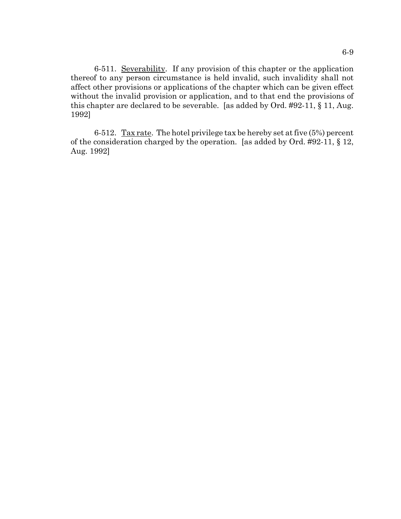6-511. Severability. If any provision of this chapter or the application thereof to any person circumstance is held invalid, such invalidity shall not affect other provisions or applications of the chapter which can be given effect without the invalid provision or application, and to that end the provisions of this chapter are declared to be severable. [as added by Ord. #92-11, § 11, Aug. 1992]

6-512. Tax rate. The hotel privilege tax be hereby set at five  $(5%)$  percent of the consideration charged by the operation. [as added by Ord. #92-11, § 12, Aug. 1992]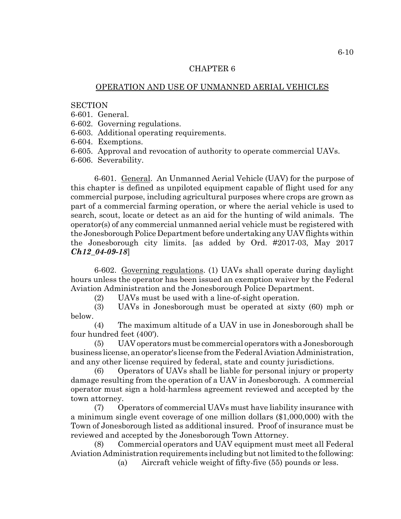## OPERATION AND USE OF UNMANNED AERIAL VEHICLES

## **SECTION**

6-601. General.

6-602. Governing regulations.

6-603. Additional operating requirements.

6-604. Exemptions.

6-605. Approval and revocation of authority to operate commercial UAVs.

6-606. Severability.

6-601. General. An Unmanned Aerial Vehicle (UAV) for the purpose of this chapter is defined as unpiloted equipment capable of flight used for any commercial purpose, including agricultural purposes where crops are grown as part of a commercial farming operation, or where the aerial vehicle is used to search, scout, locate or detect as an aid for the hunting of wild animals. The operator(s) of any commercial unmanned aerial vehicle must be registered with the Jonesborough Police Department before undertaking any UAV flights within the Jonesborough city limits. [as added by Ord. #2017-03, May 2017 *Ch12\_04-09-18*]

6-602. Governing regulations. (1) UAVs shall operate during daylight hours unless the operator has been issued an exemption waiver by the Federal Aviation Administration and the Jonesborough Police Department.

(2) UAVs must be used with a line-of-sight operation.

(3) UAVs in Jonesborough must be operated at sixty (60) mph or below.

(4) The maximum altitude of a UAV in use in Jonesborough shall be four hundred feet (400').

(5) UAV operators must be commercial operators with a Jonesborough business license, an operator's license from the Federal Aviation Administration, and any other license required by federal, state and county jurisdictions.

(6) Operators of UAVs shall be liable for personal injury or property damage resulting from the operation of a UAV in Jonesborough. A commercial operator must sign a hold-harmless agreement reviewed and accepted by the town attorney.

(7) Operators of commercial UAVs must have liability insurance with a minimum single event coverage of one million dollars (\$1,000,000) with the Town of Jonesborough listed as additional insured. Proof of insurance must be reviewed and accepted by the Jonesborough Town Attorney.

(8) Commercial operators and UAV equipment must meet all Federal Aviation Administration requirements including but not limited to the following:

(a) Aircraft vehicle weight of fifty-five (55) pounds or less.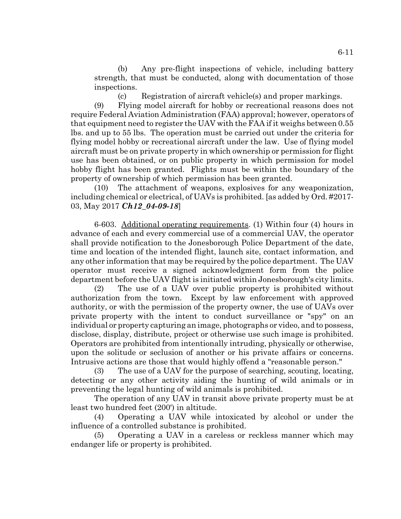(b) Any pre-flight inspections of vehicle, including battery strength, that must be conducted, along with documentation of those inspections.

(c) Registration of aircraft vehicle(s) and proper markings. (9) Flying model aircraft for hobby or recreational reasons does not require Federal Aviation Administration (FAA) approval; however, operators of that equipment need to register the UAV with the FAA if it weighs between 0.55 lbs. and up to 55 lbs. The operation must be carried out under the criteria for flying model hobby or recreational aircraft under the law. Use of flying model aircraft must be on private property in which ownership or permission for flight use has been obtained, or on public property in which permission for model hobby flight has been granted. Flights must be within the boundary of the property of ownership of which permission has been granted.

(10) The attachment of weapons, explosives for any weaponization, including chemical or electrical, of UAVs is prohibited. [as added by Ord. #2017- 03, May 2017 *Ch12\_04-09-18*]

6-603. Additional operating requirements. (1) Within four (4) hours in advance of each and every commercial use of a commercial UAV, the operator shall provide notification to the Jonesborough Police Department of the date, time and location of the intended flight, launch site, contact information, and any other information that may be required by the police department. The UAV operator must receive a signed acknowledgment form from the police department before the UAV flight is initiated within Jonesborough's city limits.

(2) The use of a UAV over public property is prohibited without authorization from the town. Except by law enforcement with approved authority, or with the permission of the property owner, the use of UAVs over private property with the intent to conduct surveillance or "spy" on an individual or property capturing an image, photographs or video, and to possess, disclose, display, distribute, project or otherwise use such image is prohibited. Operators are prohibited from intentionally intruding, physically or otherwise, upon the solitude or seclusion of another or his private affairs or concerns. Intrusive actions are those that would highly offend a "reasonable person."

(3) The use of a UAV for the purpose of searching, scouting, locating, detecting or any other activity aiding the hunting of wild animals or in preventing the legal hunting of wild animals is prohibited.

The operation of any UAV in transit above private property must be at least two hundred feet (200') in altitude.

(4) Operating a UAV while intoxicated by alcohol or under the influence of a controlled substance is prohibited.

(5) Operating a UAV in a careless or reckless manner which may endanger life or property is prohibited.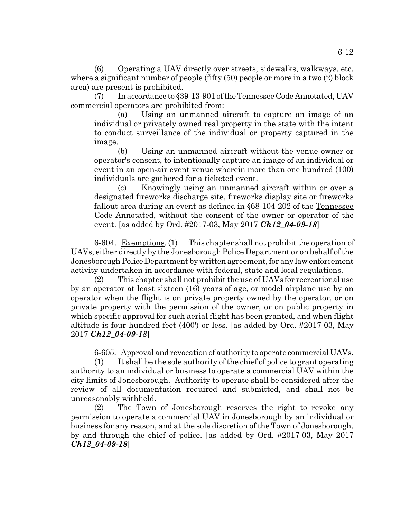(6) Operating a UAV directly over streets, sidewalks, walkways, etc. where a significant number of people (fifty (50) people or more in a two (2) block area) are present is prohibited.

(7) In accordance to §39-13-901 of the Tennessee Code Annotated, UAV commercial operators are prohibited from:

(a) Using an unmanned aircraft to capture an image of an individual or privately owned real property in the state with the intent to conduct surveillance of the individual or property captured in the image.

(b) Using an unmanned aircraft without the venue owner or operator's consent, to intentionally capture an image of an individual or event in an open-air event venue wherein more than one hundred (100) individuals are gathered for a ticketed event.

(c) Knowingly using an unmanned aircraft within or over a designated fireworks discharge site, fireworks display site or fireworks fallout area during an event as defined in §68-104-202 of the Tennessee Code Annotated, without the consent of the owner or operator of the event. [as added by Ord. #2017-03, May 2017 *Ch12\_04-09-18*]

6-604. Exemptions. (1) This chapter shall not prohibit the operation of UAVs, either directly by the Jonesborough Police Department or on behalf of the Jonesborough Police Department by written agreement, for any law enforcement activity undertaken in accordance with federal, state and local regulations.

(2) This chapter shall not prohibit the use of UAVs for recreational use by an operator at least sixteen (16) years of age, or model airplane use by an operator when the flight is on private property owned by the operator, or on private property with the permission of the owner, or on public property in which specific approval for such aerial flight has been granted, and when flight altitude is four hundred feet (400') or less. [as added by Ord. #2017-03, May 2017 *Ch12\_04-09-18*]

6-605. Approval and revocation of authority to operate commercial UAVs.

(1) It shall be the sole authority of the chief of police to grant operating authority to an individual or business to operate a commercial UAV within the city limits of Jonesborough. Authority to operate shall be considered after the review of all documentation required and submitted, and shall not be unreasonably withheld.

(2) The Town of Jonesborough reserves the right to revoke any permission to operate a commercial UAV in Jonesborough by an individual or business for any reason, and at the sole discretion of the Town of Jonesborough, by and through the chief of police. [as added by Ord. #2017-03, May 2017 *Ch12\_04-09-18*]